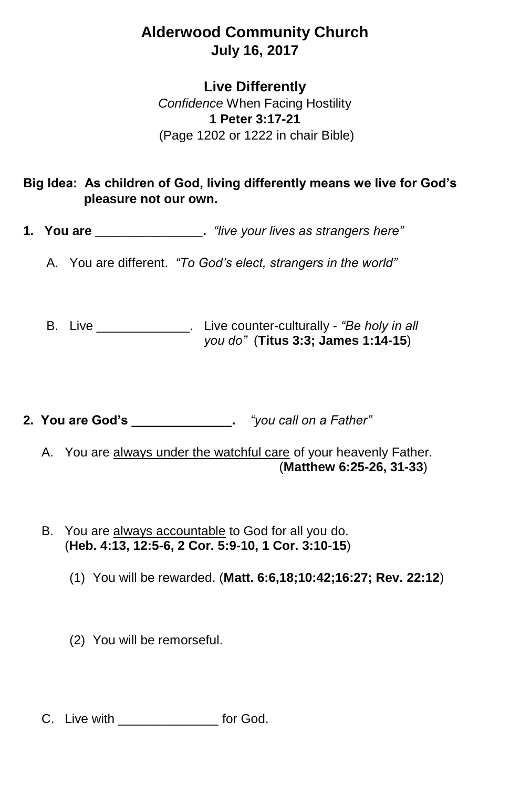## **Alderwood Community Church July 16, 2017**

## **Live Differently**

*Confidence* When Facing Hostility **1 Peter 3:17-21** (Page 1202 or 1222 in chair Bible)

## **Big Idea: As children of God, living differently means we live for God's pleasure not our own.**

- **1. You are \_\_\_\_\_\_\_\_\_\_\_\_\_\_\_.** *"live your lives as strangers here"*
	- A. You are different. *"To God's elect, strangers in the world"*

B. Live \_\_\_\_\_\_\_\_\_\_\_\_\_. Live counter-culturally - *"Be holy in all you do"* (**Titus 3:3; James 1:14-15**)

**2. You are God's \_\_\_\_\_\_\_\_\_\_\_\_\_\_.** *"you call on a Father"*

- A. You are always under the watchful care of your heavenly Father. (**Matthew 6:25-26, 31-33**)
- B. You are always accountable to God for all you do. (**Heb. 4:13, 12:5-6, 2 Cor. 5:9-10, 1 Cor. 3:10-15**)
	- (1) You will be rewarded. (**Matt. 6:6,18;10:42;16:27; Rev. 22:12**)
	- (2) You will be remorseful.
- C. Live with **Example 20** for God.